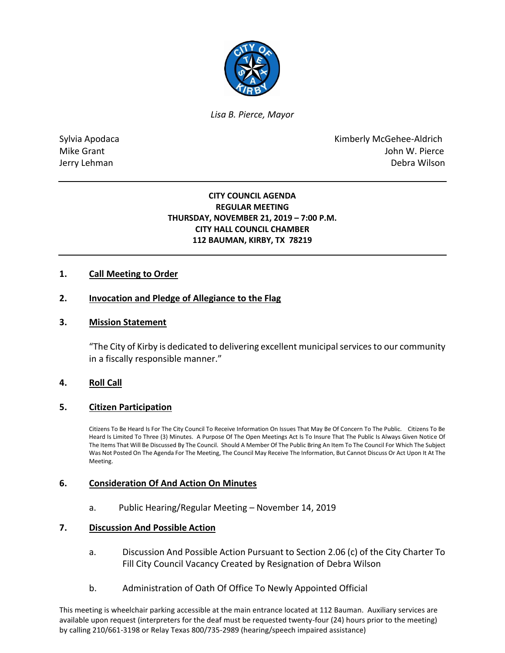

*Lisa B. Pierce, Mayor* 

Sylvia Apodaca National According Control of American Control of Kimberly McGehee-Aldrich Mike Grant **Mike Grant** John W. Pierce Jerry Lehman Debra Wilson

## **CITY COUNCIL AGENDA REGULAR MEETING THURSDAY, NOVEMBER 21, 2019 – 7:00 P.M. CITY HALL COUNCIL CHAMBER 112 BAUMAN, KIRBY, TX 78219**

# **1. Call Meeting to Order**

# **2. Invocation and Pledge of Allegiance to the Flag**

#### **3. Mission Statement**

"The City of Kirby is dedicated to delivering excellent municipal services to our community in a fiscally responsible manner."

# **4. Roll Call**

#### **5. Citizen Participation**

Citizens To Be Heard Is For The City Council To Receive Information On Issues That May Be Of Concern To The Public. Citizens To Be Heard Is Limited To Three (3) Minutes. A Purpose Of The Open Meetings Act Is To Insure That The Public Is Always Given Notice Of The Items That Will Be Discussed By The Council. Should A Member Of The Public Bring An Item To The Council For Which The Subject Was Not Posted On The Agenda For The Meeting, The Council May Receive The Information, But Cannot Discuss Or Act Upon It At The Meeting.

#### **6. Consideration Of And Action On Minutes**

a. Public Hearing/Regular Meeting – November 14, 2019

#### **7. Discussion And Possible Action**

- a. Discussion And Possible Action Pursuant to Section 2.06 (c) of the City Charter To Fill City Council Vacancy Created by Resignation of Debra Wilson
- b. Administration of Oath Of Office To Newly Appointed Official

This meeting is wheelchair parking accessible at the main entrance located at 112 Bauman. Auxiliary services are available upon request (interpreters for the deaf must be requested twenty-four (24) hours prior to the meeting) by calling 210/661-3198 or Relay Texas 800/735-2989 (hearing/speech impaired assistance)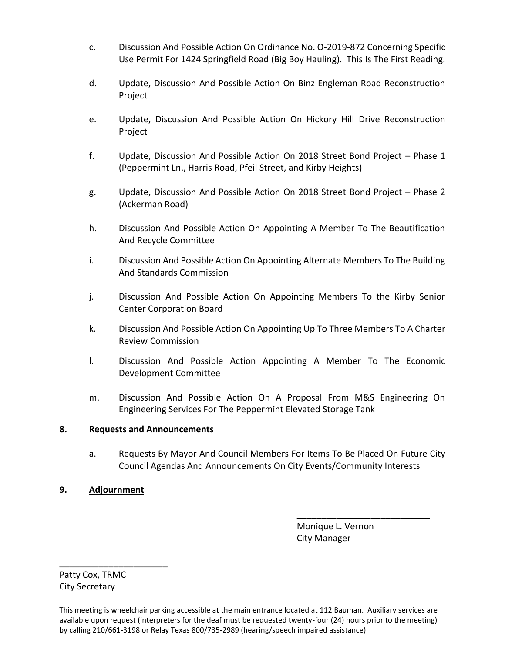- c. Discussion And Possible Action On Ordinance No. O-2019-872 Concerning Specific Use Permit For 1424 Springfield Road (Big Boy Hauling). This Is The First Reading.
- d. Update, Discussion And Possible Action On Binz Engleman Road Reconstruction Project
- e. Update, Discussion And Possible Action On Hickory Hill Drive Reconstruction Project
- f. Update, Discussion And Possible Action On 2018 Street Bond Project Phase 1 (Peppermint Ln., Harris Road, Pfeil Street, and Kirby Heights)
- g. Update, Discussion And Possible Action On 2018 Street Bond Project Phase 2 (Ackerman Road)
- h. Discussion And Possible Action On Appointing A Member To The Beautification And Recycle Committee
- i. Discussion And Possible Action On Appointing Alternate Members To The Building And Standards Commission
- j. Discussion And Possible Action On Appointing Members To the Kirby Senior Center Corporation Board
- k. Discussion And Possible Action On Appointing Up To Three Members To A Charter Review Commission
- l. Discussion And Possible Action Appointing A Member To The Economic Development Committee
- m. Discussion And Possible Action On A Proposal From M&S Engineering On Engineering Services For The Peppermint Elevated Storage Tank

# **8. Requests and Announcements**

a. Requests By Mayor And Council Members For Items To Be Placed On Future City Council Agendas And Announcements On City Events/Community Interests

# **9. Adjournment**

 Monique L. Vernon City Manager

\_\_\_\_\_\_\_\_\_\_\_\_\_\_\_\_\_\_\_\_\_\_\_\_\_\_\_

Patty Cox, TRMC City Secretary

\_\_\_\_\_\_\_\_\_\_\_\_\_\_\_\_\_\_\_\_\_\_

This meeting is wheelchair parking accessible at the main entrance located at 112 Bauman. Auxiliary services are available upon request (interpreters for the deaf must be requested twenty-four (24) hours prior to the meeting) by calling 210/661-3198 or Relay Texas 800/735-2989 (hearing/speech impaired assistance)